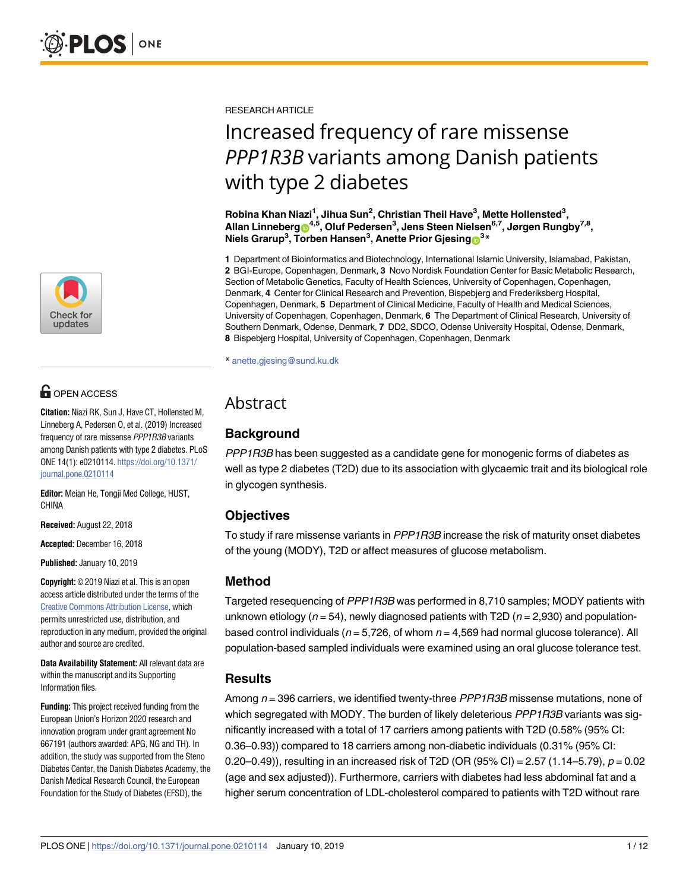

## **G** OPEN ACCESS

**Citation:** Niazi RK, Sun J, Have CT, Hollensted M, Linneberg A, Pedersen O, et al. (2019) Increased frequency of rare missense PPP1R3B variants among Danish patients with type 2 diabetes. PLoS ONE 14(1): e0210114. [https://doi.org/10.1371/](https://doi.org/10.1371/journal.pone.0210114) [journal.pone.0210114](https://doi.org/10.1371/journal.pone.0210114)

**Editor:** Meian He, Tongji Med College, HUST, CHINA

**Received:** August 22, 2018

**Accepted:** December 16, 2018

**Published:** January 10, 2019

**Copyright:** © 2019 Niazi et al. This is an open access article distributed under the terms of the Creative Commons [Attribution](http://creativecommons.org/licenses/by/4.0/) License, which permits unrestricted use, distribution, and reproduction in any medium, provided the original author and source are credited.

**Data Availability Statement:** All relevant data are within the manuscript and its Supporting Information files.

**Funding:** This project received funding from the European Union's Horizon 2020 research and innovation program under grant agreement No 667191 (authors awarded: APG, NG and TH). In addition, the study was supported from the Steno Diabetes Center, the Danish Diabetes Academy, the Danish Medical Research Council, the European Foundation for the Study of Diabetes (EFSD), the

RESEARCH ARTICLE

# Increased frequency of rare missense *PPP1R3B* variants among Danish patients with type 2 diabetes

**Robina Khan Niazi1 , Jihua Sun2 , Christian Theil Have3 , Mette Hollensted3 , Allan Linneber[gID](http://orcid.org/0000-0002-0994-0184)4,5, Oluf Pedersen3 , Jens Steen Nielsen6,7, Jørgen Rungby7,8, Niels Grarup3 , Torben Hansen3 , Anette Prior Gjesing[ID3](http://orcid.org/0000-0003-4580-1576) \***

**1** Department of Bioinformatics and Biotechnology, International Islamic University, Islamabad, Pakistan, **2** BGI-Europe, Copenhagen, Denmark, **3** Novo Nordisk Foundation Center for Basic Metabolic Research, Section of Metabolic Genetics, Faculty of Health Sciences, University of Copenhagen, Copenhagen, Denmark, **4** Center for Clinical Research and Prevention, Bispebjerg and Frederiksberg Hospital, Copenhagen, Denmark, **5** Department of Clinical Medicine, Faculty of Health and Medical Sciences, University of Copenhagen, Copenhagen, Denmark, **6** The Department of Clinical Research, University of Southern Denmark, Odense, Denmark, **7** DD2, SDCO, Odense University Hospital, Odense, Denmark, **8** Bispebjerg Hospital, University of Copenhagen, Copenhagen, Denmark

\* anette.gjesing@sund.ku.dk

## Abstract

### **Background**

PPP1R3B has been suggested as a candidate gene for monogenic forms of diabetes as well as type 2 diabetes (T2D) due to its association with glycaemic trait and its biological role in glycogen synthesis.

#### **Objectives**

To study if rare missense variants in PPP1R3B increase the risk of maturity onset diabetes of the young (MODY), T2D or affect measures of glucose metabolism.

#### **Method**

Targeted resequencing of PPP1R3B was performed in 8,710 samples; MODY patients with unknown etiology ( $n = 54$ ), newly diagnosed patients with T2D ( $n = 2,930$ ) and populationbased control individuals ( $n = 5,726$ , of whom  $n = 4,569$  had normal glucose tolerance). All population-based sampled individuals were examined using an oral glucose tolerance test.

#### **Results**

Among  $n = 396$  carriers, we identified twenty-three  $PPPIR3B$  missense mutations, none of which segregated with MODY. The burden of likely deleterious PPP1R3B variants was significantly increased with a total of 17 carriers among patients with T2D (0.58% (95% CI: 0.36–0.93)) compared to 18 carriers among non-diabetic individuals (0.31% (95% CI: 0.20–0.49)), resulting in an increased risk of T2D (OR (95% CI) = 2.57 (1.14–5.79),  $p = 0.02$ (age and sex adjusted)). Furthermore, carriers with diabetes had less abdominal fat and a higher serum concentration of LDL-cholesterol compared to patients with T2D without rare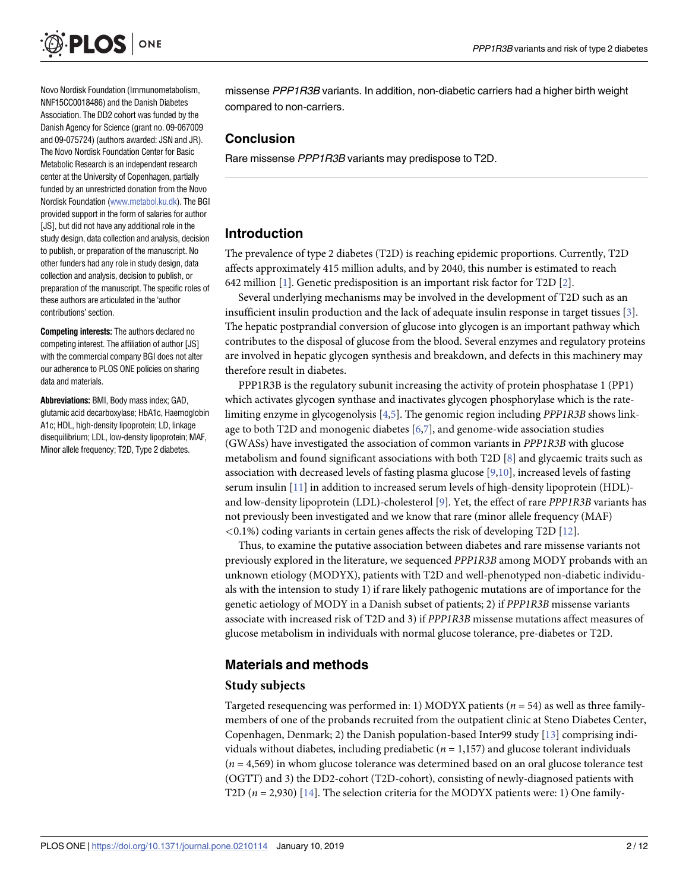<span id="page-1-0"></span>

Novo Nordisk Foundation (Immunometabolism, NNF15CC0018486) and the Danish Diabetes Association. The DD2 cohort was funded by the Danish Agency for Science (grant no. 09-067009 and 09-075724) (authors awarded: JSN and JR). The Novo Nordisk Foundation Center for Basic Metabolic Research is an independent research center at the University of Copenhagen, partially funded by an unrestricted donation from the Novo Nordisk Foundation [\(www.metabol.ku.dk](http://www.metabol.ku.dk)). The BGI provided support in the form of salaries for author [JS], but did not have any additional role in the study design, data collection and analysis, decision to publish, or preparation of the manuscript. No other funders had any role in study design, data collection and analysis, decision to publish, or preparation of the manuscript. The specific roles of these authors are articulated in the 'author contributions' section.

**Competing interests:** The authors declared no competing interest. The affiliation of author [JS] with the commercial company BGI does not alter our adherence to PLOS ONE policies on sharing data and materials.

**Abbreviations:** BMI, Body mass index; GAD, glutamic acid decarboxylase; HbA1c, Haemoglobin A1c; HDL, high-density lipoprotein; LD, linkage disequilibrium; LDL, low-density lipoprotein; MAF, Minor allele frequency; T2D, Type 2 diabetes.

missense PPP1R3B variants. In addition, non-diabetic carriers had a higher birth weight compared to non-carriers.

#### **Conclusion**

Rare missense PPP1R3B variants may predispose to T2D.

#### **Introduction**

The prevalence of type 2 diabetes (T2D) is reaching epidemic proportions. Currently, T2D affects approximately 415 million adults, and by 2040, this number is estimated to reach 642 million [\[1\]](#page-9-0). Genetic predisposition is an important risk factor for T2D [\[2\]](#page-9-0).

Several underlying mechanisms may be involved in the development of T2D such as an insufficient insulin production and the lack of adequate insulin response in target tissues [[3\]](#page-9-0). The hepatic postprandial conversion of glucose into glycogen is an important pathway which contributes to the disposal of glucose from the blood. Several enzymes and regulatory proteins are involved in hepatic glycogen synthesis and breakdown, and defects in this machinery may therefore result in diabetes.

PPP1R3B is the regulatory subunit increasing the activity of protein phosphatase 1 (PP1) which activates glycogen synthase and inactivates glycogen phosphorylase which is the ratelimiting enzyme in glycogenolysis [\[4,5](#page-9-0)]. The genomic region including *PPP1R3B* shows linkage to both T2D and monogenic diabetes [\[6,7](#page-9-0)], and genome-wide association studies (GWASs) have investigated the association of common variants in *PPP1R3B* with glucose metabolism and found significant associations with both T2D [[8](#page-9-0)] and glycaemic traits such as association with decreased levels of fasting plasma glucose [[9,10](#page-9-0)], increased levels of fasting serum insulin [[11\]](#page-9-0) in addition to increased serum levels of high-density lipoprotein (HDL) and low-density lipoprotein (LDL)-cholesterol [[9](#page-9-0)]. Yet, the effect of rare *PPP1R3B* variants has not previously been investigated and we know that rare (minor allele frequency (MAF) *<*0.1%) coding variants in certain genes affects the risk of developing T2D [[12](#page-9-0)].

Thus, to examine the putative association between diabetes and rare missense variants not previously explored in the literature, we sequenced *PPP1R3B* among MODY probands with an unknown etiology (MODYX), patients with T2D and well-phenotyped non-diabetic individuals with the intension to study 1) if rare likely pathogenic mutations are of importance for the genetic aetiology of MODY in a Danish subset of patients; 2) if *PPP1R3B* missense variants associate with increased risk of T2D and 3) if *PPP1R3B* missense mutations affect measures of glucose metabolism in individuals with normal glucose tolerance, pre-diabetes or T2D.

#### **Materials and methods**

#### **Study subjects**

Targeted resequencing was performed in: 1) MODYX patients (*n* = 54) as well as three familymembers of one of the probands recruited from the outpatient clinic at Steno Diabetes Center, Copenhagen, Denmark; 2) the Danish population-based Inter99 study [[13](#page-9-0)] comprising individuals without diabetes, including prediabetic  $(n = 1,157)$  and glucose tolerant individuals (*n* = 4,569) in whom glucose tolerance was determined based on an oral glucose tolerance test (OGTT) and 3) the DD2-cohort (T2D-cohort), consisting of newly-diagnosed patients with T2D (*n* = 2,930) [[14](#page-9-0)]. The selection criteria for the MODYX patients were: 1) One family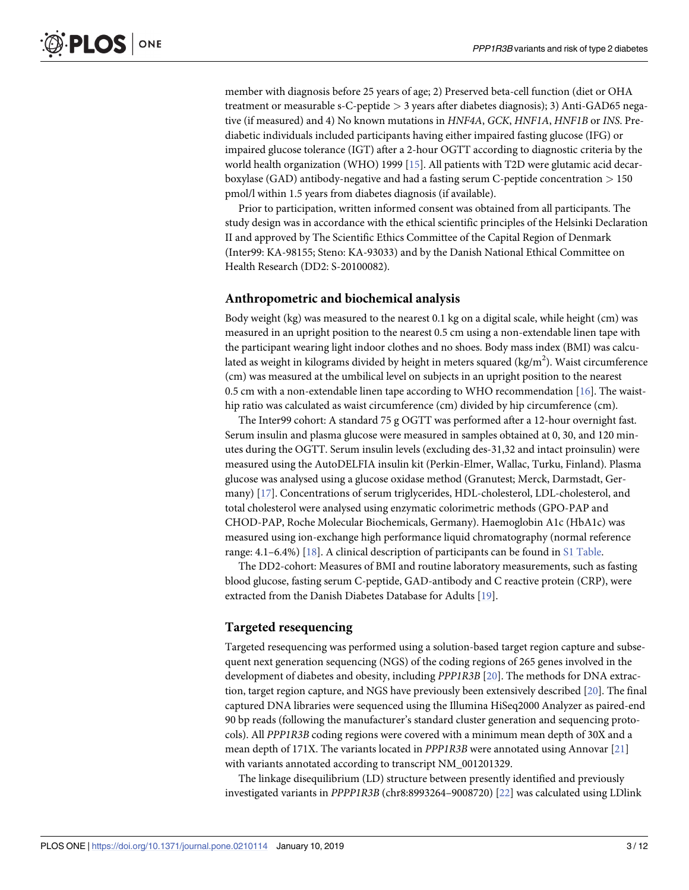<span id="page-2-0"></span>member with diagnosis before 25 years of age; 2) Preserved beta-cell function (diet or OHA treatment or measurable s-C-peptide *>* 3 years after diabetes diagnosis); 3) Anti-GAD65 negative (if measured) and 4) No known mutations in *HNF4A*, *GCK*, *HNF1A*, *HNF1B* or *INS*. Prediabetic individuals included participants having either impaired fasting glucose (IFG) or impaired glucose tolerance (IGT) after a 2-hour OGTT according to diagnostic criteria by the world health organization (WHO) 1999 [[15](#page-9-0)]. All patients with T2D were glutamic acid decarboxylase (GAD) antibody-negative and had a fasting serum C-peptide concentration *>* 150 pmol/l within 1.5 years from diabetes diagnosis (if available).

Prior to participation, written informed consent was obtained from all participants. The study design was in accordance with the ethical scientific principles of the Helsinki Declaration II and approved by The Scientific Ethics Committee of the Capital Region of Denmark (Inter99: KA-98155; Steno: KA-93033) and by the Danish National Ethical Committee on Health Research (DD2: S-20100082).

#### **Anthropometric and biochemical analysis**

Body weight (kg) was measured to the nearest 0.1 kg on a digital scale, while height (cm) was measured in an upright position to the nearest 0.5 cm using a non-extendable linen tape with the participant wearing light indoor clothes and no shoes. Body mass index (BMI) was calculated as weight in kilograms divided by height in meters squared (kg/m<sup>2</sup>). Waist circumference (cm) was measured at the umbilical level on subjects in an upright position to the nearest 0.5 cm with a non-extendable linen tape according to WHO recommendation [\[16\]](#page-10-0). The waisthip ratio was calculated as waist circumference (cm) divided by hip circumference (cm).

The Inter99 cohort: A standard 75 g OGTT was performed after a 12-hour overnight fast. Serum insulin and plasma glucose were measured in samples obtained at 0, 30, and 120 minutes during the OGTT. Serum insulin levels (excluding des-31,32 and intact proinsulin) were measured using the AutoDELFIA insulin kit (Perkin-Elmer, Wallac, Turku, Finland). Plasma glucose was analysed using a glucose oxidase method (Granutest; Merck, Darmstadt, Germany) [[17](#page-10-0)]. Concentrations of serum triglycerides, HDL-cholesterol, LDL-cholesterol, and total cholesterol were analysed using enzymatic colorimetric methods (GPO-PAP and CHOD-PAP, Roche Molecular Biochemicals, Germany). Haemoglobin A1c (HbA1c) was measured using ion-exchange high performance liquid chromatography (normal reference range: 4.1–6.4%) [\[18\]](#page-10-0). A clinical description of participants can be found in S1 [Table.](#page-8-0)

The DD2-cohort: Measures of BMI and routine laboratory measurements, such as fasting blood glucose, fasting serum C-peptide, GAD-antibody and C reactive protein (CRP), were extracted from the Danish Diabetes Database for Adults [[19](#page-10-0)].

#### **Targeted resequencing**

Targeted resequencing was performed using a solution-based target region capture and subsequent next generation sequencing (NGS) of the coding regions of 265 genes involved in the development of diabetes and obesity, including *PPP1R3B* [[20\]](#page-10-0). The methods for DNA extraction, target region capture, and NGS have previously been extensively described [\[20\]](#page-10-0). The final captured DNA libraries were sequenced using the Illumina HiSeq2000 Analyzer as paired-end 90 bp reads (following the manufacturer's standard cluster generation and sequencing protocols). All *PPP1R3B* coding regions were covered with a minimum mean depth of 30X and a mean depth of 171X. The variants located in *PPP1R3B* were annotated using Annovar [\[21\]](#page-10-0) with variants annotated according to transcript NM\_001201329.

The linkage disequilibrium (LD) structure between presently identified and previously investigated variants in *PPPP1R3B* (chr8:8993264–9008720) [[22](#page-10-0)] was calculated using LDlink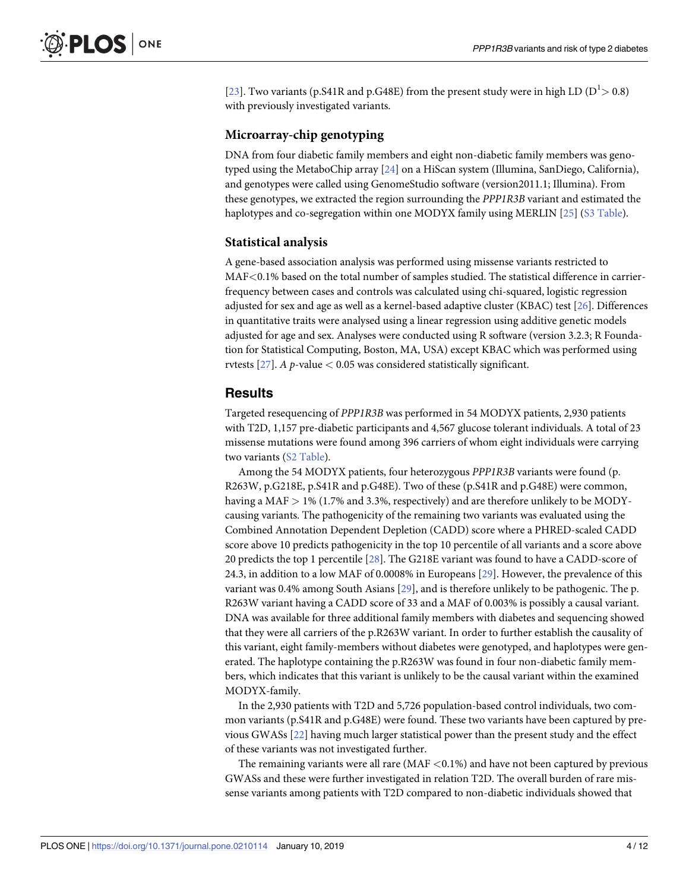<span id="page-3-0"></span>[\[23\]](#page-10-0). Two variants (p. S41R and p. G48E) from the present study were in high LD ( $D<sup>1</sup> > 0.8$ ) with previously investigated variants.

#### **Microarray-chip genotyping**

DNA from four diabetic family members and eight non-diabetic family members was genotyped using the MetaboChip array [[24](#page-10-0)] on a HiScan system (Illumina, SanDiego, California), and genotypes were called using GenomeStudio software (version2011.1; Illumina). From these genotypes, we extracted the region surrounding the *PPP1R3B* variant and estimated the haplotypes and co-segregation within one MODYX family using MERLIN [[25](#page-10-0)] (S3 [Table](#page-8-0)).

#### **Statistical analysis**

A gene-based association analysis was performed using missense variants restricted to MAF*<*0.1% based on the total number of samples studied. The statistical difference in carrierfrequency between cases and controls was calculated using chi-squared, logistic regression adjusted for sex and age as well as a kernel-based adaptive cluster (KBAC) test [\[26\]](#page-10-0). Differences in quantitative traits were analysed using a linear regression using additive genetic models adjusted for age and sex. Analyses were conducted using R software (version 3.2.3; R Foundation for Statistical Computing, Boston, MA, USA) except KBAC which was performed using rvtests [\[27\]](#page-10-0). *A p*-value *<* 0.05 was considered statistically significant.

#### **Results**

Targeted resequencing of *PPP1R3B* was performed in 54 MODYX patients, 2,930 patients with T2D, 1,157 pre-diabetic participants and 4,567 glucose tolerant individuals. A total of 23 missense mutations were found among 396 carriers of whom eight individuals were carrying two variants (S2 [Table](#page-8-0)).

Among the 54 MODYX patients, four heterozygous *PPP1R3B* variants were found (p. R263W, p.G218E, p.S41R and p.G48E). Two of these (p.S41R and p.G48E) were common, having a MAF *>* 1% (1.7% and 3.3%, respectively) and are therefore unlikely to be MODYcausing variants. The pathogenicity of the remaining two variants was evaluated using the Combined Annotation Dependent Depletion (CADD) score where a PHRED-scaled CADD score above 10 predicts pathogenicity in the top 10 percentile of all variants and a score above 20 predicts the top 1 percentile [[28](#page-10-0)]. The G218E variant was found to have a CADD-score of 24.3, in addition to a low MAF of 0.0008% in Europeans [\[29\]](#page-10-0). However, the prevalence of this variant was 0.4% among South Asians [\[29\]](#page-10-0), and is therefore unlikely to be pathogenic. The p. R263W variant having a CADD score of 33 and a MAF of 0.003% is possibly a causal variant. DNA was available for three additional family members with diabetes and sequencing showed that they were all carriers of the p.R263W variant. In order to further establish the causality of this variant, eight family-members without diabetes were genotyped, and haplotypes were generated. The haplotype containing the p.R263W was found in four non-diabetic family members, which indicates that this variant is unlikely to be the causal variant within the examined MODYX-family.

In the 2,930 patients with T2D and 5,726 population-based control individuals, two common variants (p.S41R and p.G48E) were found. These two variants have been captured by previous GWASs [\[22](#page-10-0)] having much larger statistical power than the present study and the effect of these variants was not investigated further.

The remaining variants were all rare (MAF *<*0.1%) and have not been captured by previous GWASs and these were further investigated in relation T2D. The overall burden of rare missense variants among patients with T2D compared to non-diabetic individuals showed that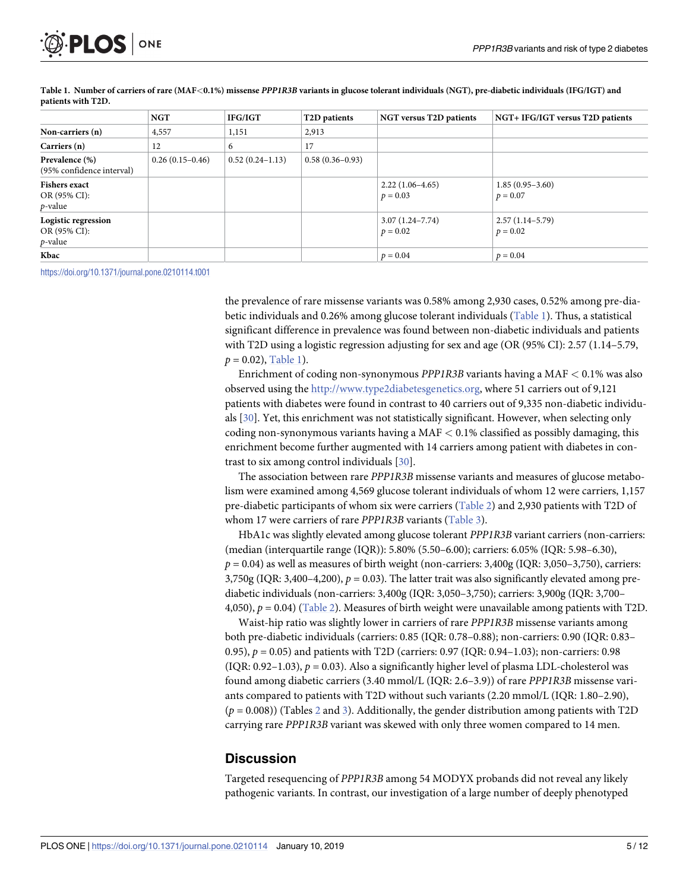<span id="page-4-0"></span>

|                                                    | <b>NGT</b>        | IFG/IGT           | T <sub>2</sub> D patients | <b>NGT versus T2D patients</b>    | NGT+ IFG/IGT versus T2D patients |
|----------------------------------------------------|-------------------|-------------------|---------------------------|-----------------------------------|----------------------------------|
| Non-carriers (n)                                   | 4,557             | 1,151             | 2,913                     |                                   |                                  |
| Carriers (n)                                       | 12                | 6                 | 17                        |                                   |                                  |
| Prevalence (%)<br>(95% confidence interval)        | $0.26(0.15-0.46)$ | $0.52(0.24-1.13)$ | $0.58(0.36 - 0.93)$       |                                   |                                  |
| <b>Fishers exact</b><br>OR (95% CI):<br>$p$ -value |                   |                   |                           | $2.22(1.06-4.65)$<br>$p = 0.03$   | $1.85(0.95-3.60)$<br>$p = 0.07$  |
| Logistic regression<br>OR (95% CI):<br>$p$ -value  |                   |                   |                           | $3.07(1.24 - 7.74)$<br>$p = 0.02$ | $2.57(1.14-5.79)$<br>$p = 0.02$  |
| Kbac                                               |                   |                   |                           | $p = 0.04$                        | $p = 0.04$                       |

Table 1. Number of carriers of rare (MAF<0.1%) missense PPP1R3B variants in glucose tolerant individuals (NGT), pre-diabetic individuals (IFG/IGT) and **patients with T2D.**

<https://doi.org/10.1371/journal.pone.0210114.t001>

the prevalence of rare missense variants was 0.58% among 2,930 cases, 0.52% among pre-diabetic individuals and 0.26% among glucose tolerant individuals (Table 1). Thus, a statistical significant difference in prevalence was found between non-diabetic individuals and patients with T2D using a logistic regression adjusting for sex and age (OR (95% CI): 2.57 (1.14–5.79,  $p = 0.02$ ), Table 1).

Enrichment of coding non-synonymous *PPP1R3B* variants having a MAF *<* 0.1% was also observed using the [http://www.type2diabetesgenetics.org,](http://www.type2diabetesgenetics.org) where 51 carriers out of 9,121 patients with diabetes were found in contrast to 40 carriers out of 9,335 non-diabetic individuals [\[30\]](#page-10-0). Yet, this enrichment was not statistically significant. However, when selecting only coding non-synonymous variants having a MAF *<* 0.1% classified as possibly damaging, this enrichment become further augmented with 14 carriers among patient with diabetes in contrast to six among control individuals [\[30\]](#page-10-0).

The association between rare *PPP1R3B* missense variants and measures of glucose metabolism were examined among 4,569 glucose tolerant individuals of whom 12 were carriers, 1,157 pre-diabetic participants of whom six were carriers ([Table](#page-5-0) 2) and 2,930 patients with T2D of whom 17 were carriers of rare *PPP1R3B* variants [\(Table](#page-5-0) 3).

HbA1c was slightly elevated among glucose tolerant *PPP1R3B* variant carriers (non-carriers: (median (interquartile range (IQR)): 5.80% (5.50–6.00); carriers: 6.05% (IQR: 5.98–6.30),  $p = 0.04$ ) as well as measures of birth weight (non-carriers:  $3,400g$  (IQR:  $3,050-3,750$ ), carriers:  $3,750g$  (IQR:  $3,400-4,200$ ),  $p = 0.03$ ). The latter trait was also significantly elevated among prediabetic individuals (non-carriers: 3,400g (IQR: 3,050–3,750); carriers: 3,900g (IQR: 3,700– 4,050),  $p = 0.04$ ) ([Table](#page-5-0) 2). Measures of birth weight were unavailable among patients with T2D.

Waist-hip ratio was slightly lower in carriers of rare *PPP1R3B* missense variants among both pre-diabetic individuals (carriers: 0.85 (IQR: 0.78–0.88); non-carriers: 0.90 (IQR: 0.83– 0.95), *p* = 0.05) and patients with T2D (carriers: 0.97 (IQR: 0.94–1.03); non-carriers: 0.98  $(IQR: 0.92-1.03)$ ,  $p = 0.03$ ). Also a significantly higher level of plasma LDL-cholesterol was found among diabetic carriers (3.40 mmol/L (IQR: 2.6–3.9)) of rare *PPP1R3B* missense variants compared to patients with T2D without such variants (2.20 mmol/L (IQR: 1.80–2.90), (*p* = 0.008)) (Tables [2](#page-5-0) and [3](#page-5-0)). Additionally, the gender distribution among patients with T2D carrying rare *PPP1R3B* variant was skewed with only three women compared to 14 men.

#### **Discussion**

Targeted resequencing of *PPP1R3B* among 54 MODYX probands did not reveal any likely pathogenic variants. In contrast, our investigation of a large number of deeply phenotyped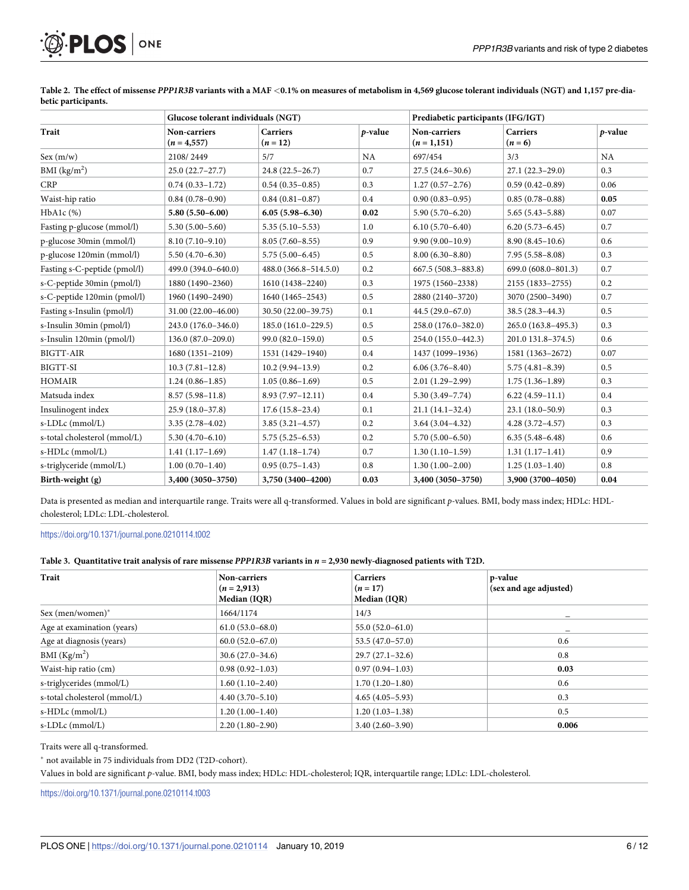<span id="page-5-0"></span>

|                              | Glucose tolerant individuals (NGT) |                               |            | Prediabetic participants (IFG/IGT) |                              |         |
|------------------------------|------------------------------------|-------------------------------|------------|------------------------------------|------------------------------|---------|
| Trait                        | Non-carriers<br>$(n = 4, 557)$     | <b>Carriers</b><br>$(n = 12)$ | $p$ -value | Non-carriers<br>$(n=1,151)$        | <b>Carriers</b><br>$(n = 6)$ | p-value |
| Sex(m/w)                     | 2108/2449                          | 5/7                           | NA         | 697/454                            | 3/3                          | NA      |
| BMI $(kg/m2)$                | $25.0(22.7-27.7)$                  | $24.8(22.5 - 26.7)$           | 0.7        | $27.5(24.6 - 30.6)$                | $27.1(22.3-29.0)$            | 0.3     |
| <b>CRP</b>                   | $0.74(0.33 - 1.72)$                | $0.54(0.35-0.85)$             | 0.3        | $1.27(0.57-2.76)$                  | $0.59(0.42 - 0.89)$          | 0.06    |
| Waist-hip ratio              | $0.84(0.78-0.90)$                  | $0.84(0.81 - 0.87)$           | 0.4        | $0.90(0.83 - 0.95)$                | $0.85(0.78-0.88)$            | 0.05    |
| HbA1c (%)                    | $5.80(5.50 - 6.00)$                | $6.05(5.98 - 6.30)$           | 0.02       | $5.90(5.70 - 6.20)$                | $5.65(5.43 - 5.88)$          | 0.07    |
| Fasting p-glucose (mmol/l)   | $5.30(5.00 - 5.60)$                | $5.35(5.10-5.53)$             | 1.0        | $6.10(5.70 - 6.40)$                | $6.20(5.73 - 6.45)$          | 0.7     |
| p-glucose 30min (mmol/l)     | $8.10(7.10-9.10)$                  | $8.05(7.60 - 8.55)$           | 0.9        | $9.90(9.00 - 10.9)$                | $8.90(8.45-10.6)$            | 0.6     |
| p-glucose 120min (mmol/l)    | $5.50(4.70 - 6.30)$                | $5.75(5.00-6.45)$             | 0.5        | $8.00(6.30 - 8.80)$                | $7.95(5.58 - 8.08)$          | 0.3     |
| Fasting s-C-peptide (pmol/l) | 499.0 (394.0-640.0)                | 488.0 (366.8-514.5.0)         | 0.2        | 667.5 (508.3-883.8)                | 699.0 (608.0-801.3)          | 0.7     |
| s-C-peptide 30min (pmol/l)   | 1880 (1490-2360)                   | 1610 (1438-2240)              | 0.3        | 1975 (1560-2338)                   | 2155 (1833-2755)             | 0.2     |
| s-C-peptide 120min (pmol/l)  | 1960 (1490-2490)                   | 1640 (1465-2543)              | 0.5        | 2880 (2140-3720)                   | 3070 (2500-3490)             | 0.7     |
| Fasting s-Insulin (pmol/l)   | 31.00 (22.00-46.00)                | 30.50 (22.00-39.75)           | 0.1        | $44.5(29.0-67.0)$                  | $38.5(28.3 - 44.3)$          | 0.5     |
| s-Insulin 30min (pmol/l)     | 243.0 (176.0-346.0)                | 185.0 (161.0-229.5)           | 0.5        | 258.0 (176.0-382.0)                | 265.0 (163.8-495.3)          | 0.3     |
| s-Insulin 120min (pmol/l)    | $136.0 (87.0 - 209.0)$             | 99.0 (82.0-159.0)             | 0.5        | 254.0 (155.0-442.3)                | 201.0 131.8-374.5)           | 0.6     |
| <b>BIGTT-AIR</b>             | 1680 (1351-2109)                   | 1531 (1429-1940)              | 0.4        | 1437 (1099-1936)                   | 1581 (1363-2672)             | 0.07    |
| BIGTT-SI                     | $10.3(7.81-12.8)$                  | $10.2(9.94-13.9)$             | 0.2        | $6.06(3.76 - 8.40)$                | $5.75(4.81 - 8.39)$          | 0.5     |
| <b>HOMAIR</b>                | $1.24(0.86 - 1.85)$                | $1.05(0.86 - 1.69)$           | 0.5        | $2.01(1.29-2.99)$                  | $1.75(1.36-1.89)$            | 0.3     |
| Matsuda index                | $8.57(5.98-11.8)$                  | $8.93(7.97-12.11)$            | 0.4        | $5.30(3.49 - 7.74)$                | $6.22(4.59-11.1)$            | 0.4     |
| Insulinogent index           | $25.9(18.0-37.8)$                  | $17.6(15.8-23.4)$             | 0.1        | $21.1(14.1-32.4)$                  | $23.1(18.0-50.9)$            | 0.3     |
| s-LDLc (mmol/L)              | $3.35(2.78-4.02)$                  | $3.85(3.21 - 4.57)$           | 0.2        | $3.64(3.04-4.32)$                  | $4.28(3.72 - 4.57)$          | 0.3     |
| s-total cholesterol (mmol/L) | $5.30(4.70 - 6.10)$                | $5.75(5.25-6.53)$             | 0.2        | $5.70(5.00 - 6.50)$                | $6.35(5.48 - 6.48)$          | 0.6     |
| s-HDLc (mmol/L)              | $1.41(1.17-1.69)$                  | $1.47(1.18-1.74)$             | 0.7        | $1.30(1.10-1.59)$                  | $1.31(1.17-1.41)$            | 0.9     |
| s-triglyceride (mmol/L)      | $1.00(0.70-1.40)$                  | $0.95(0.75-1.43)$             | 0.8        | $1.30(1.00-2.00)$                  | $1.25(1.03-1.40)$            | 0.8     |
| Birth-weight (g)             | 3,400 (3050-3750)                  | 3,750 (3400-4200)             | 0.03       | 3,400 (3050-3750)                  | 3,900 (3700-4050)            | 0.04    |

[Table](#page-4-0) 2. The effect of missense PPP1R3B variants with a MAF <0.1% on measures of metabolism in 4,569 glucose tolerant individuals (NGT) and 1,157 pre-dia**betic participants.**

Data is presented as median and interquartile range. Traits were all q-transformed. Values in bold are significant *p*-values. BMI, body mass index; HDLc: HDLcholesterol; LDLc: LDL-cholesterol.

<https://doi.org/10.1371/journal.pone.0210114.t002>

[Table](#page-4-0) 3. Quantitative trait analysis of rare missense PPP1R3B variants in  $n = 2,930$  newly-diagnosed patients with T2D.

| Trait                        | Non-carriers<br>$(n = 2,913)$<br>Median (IQR) | <b>Carriers</b><br>$(n = 17)$<br>Median (IQR) | p-value<br>(sex and age adjusted) |
|------------------------------|-----------------------------------------------|-----------------------------------------------|-----------------------------------|
| Sex (men/women) $*$          | 1664/1174                                     | 14/3                                          |                                   |
| Age at examination (years)   | $61.0(53.0 - 68.0)$                           | $55.0(52.0-61.0)$                             |                                   |
| Age at diagnosis (years)     | $60.0(52.0-67.0)$                             | $53.5(47.0-57.0)$                             | 0.6                               |
| BMI $(Kg/m2)$                | $30.6(27.0-34.6)$                             | $29.7(27.1-32.6)$                             | 0.8                               |
| Waist-hip ratio (cm)         | $0.98(0.92 - 1.03)$                           | $0.97(0.94 - 1.03)$                           | 0.03                              |
| s-triglycerides (mmol/L)     | $1.60(1.10-2.40)$                             | $1.70(1.20-1.80)$                             | 0.6                               |
| s-total cholesterol (mmol/L) | $4.40(3.70-5.10)$                             | $4.65(4.05-5.93)$                             | 0.3                               |
| $s$ -HDL $c$ (mmol/L)        | $1.20(1.00-1.40)$                             | $1.20(1.03-1.38)$                             | 0.5                               |
| s-LDLc (mmol/L)              | $2.20(1.80-2.90)$                             | $3.40(2.60-3.90)$                             | 0.006                             |

Traits were all q-transformed.

� not available in 75 individuals from DD2 (T2D-cohort).

Values in bold are significant *p*-value. BMI, body mass index; HDLc: HDL-cholesterol; IQR, interquartile range; LDLc: LDL-cholesterol.

<https://doi.org/10.1371/journal.pone.0210114.t003>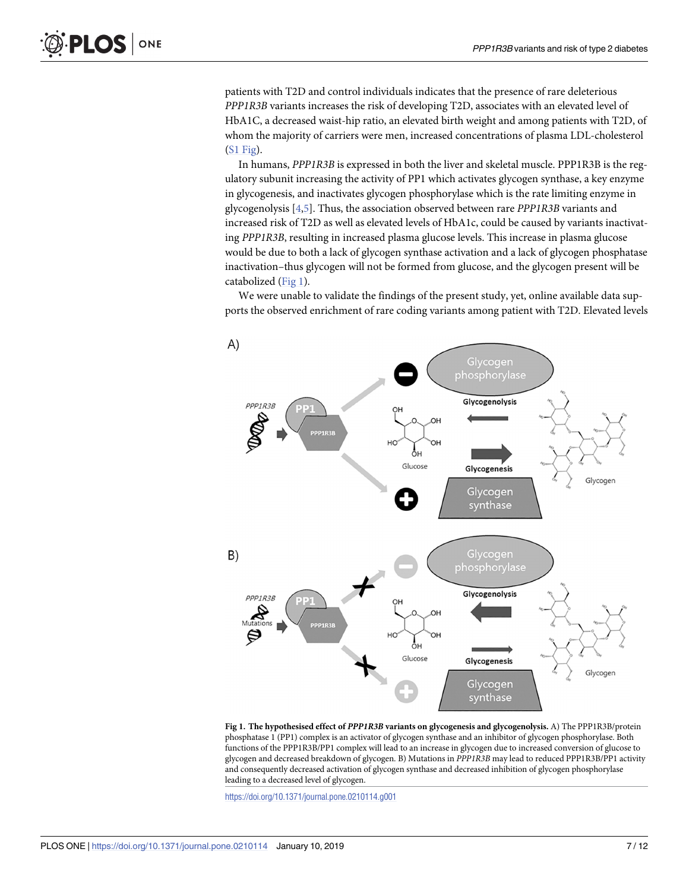patients with T2D and control individuals indicates that the presence of rare deleterious *PPP1R3B* variants increases the risk of developing T2D, associates with an elevated level of HbA1C, a decreased waist-hip ratio, an elevated birth weight and among patients with T2D, of whom the majority of carriers were men, increased concentrations of plasma LDL-cholesterol (S1 [Fig\)](#page-8-0).

In humans, *PPP1R3B* is expressed in both the liver and skeletal muscle. PPP1R3B is the regulatory subunit increasing the activity of PP1 which activates glycogen synthase, a key enzyme in glycogenesis, and inactivates glycogen phosphorylase which is the rate limiting enzyme in glycogenolysis [[4,5\]](#page-9-0). Thus, the association observed between rare *PPP1R3B* variants and increased risk of T2D as well as elevated levels of HbA1c, could be caused by variants inactivating *PPP1R3B*, resulting in increased plasma glucose levels. This increase in plasma glucose would be due to both a lack of glycogen synthase activation and a lack of glycogen phosphatase inactivation–thus glycogen will not be formed from glucose, and the glycogen present will be catabolized (Fig 1).

We were unable to validate the findings of the present study, yet, online available data supports the observed enrichment of rare coding variants among patient with T2D. Elevated levels



**Fig 1. The hypothesised effect of** *PPP1R3B* **variants on glycogenesis and glycogenolysis.** A) The PPP1R3B/protein phosphatase 1 (PP1) complex is an activator of glycogen synthase and an inhibitor of glycogen phosphorylase. Both functions of the PPP1R3B/PP1 complex will lead to an increase in glycogen due to increased conversion of glucose to glycogen and decreased breakdown of glycogen. B) Mutations in *PPP1R3B* may lead to reduced PPP1R3B/PP1 activity and consequently decreased activation of glycogen synthase and decreased inhibition of glycogen phosphorylase leading to a decreased level of glycogen.

<https://doi.org/10.1371/journal.pone.0210114.g001>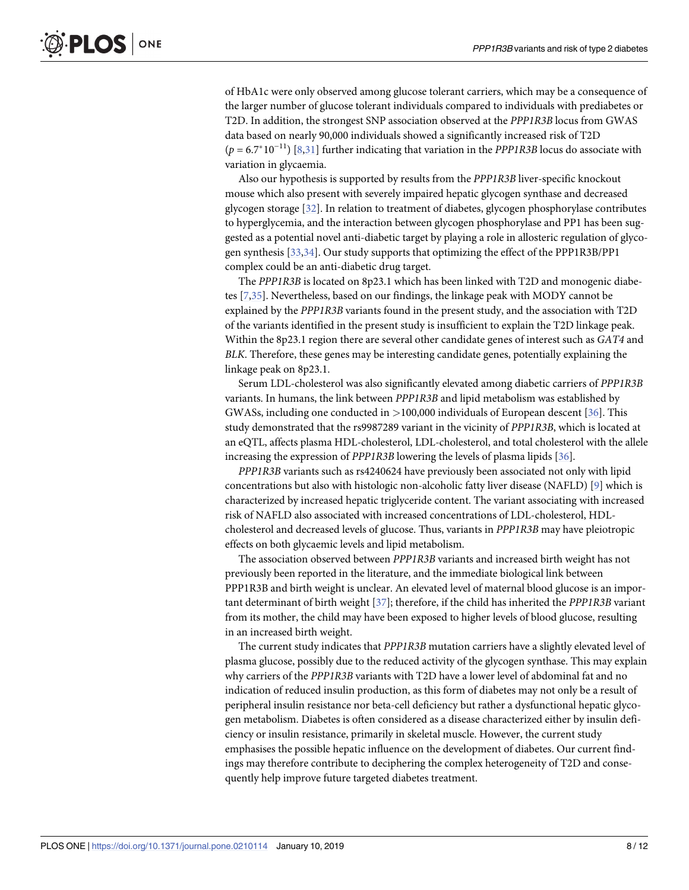<span id="page-7-0"></span>of HbA1c were only observed among glucose tolerant carriers, which may be a consequence of the larger number of glucose tolerant individuals compared to individuals with prediabetes or T2D. In addition, the strongest SNP association observed at the *PPP1R3B* locus from GWAS data based on nearly 90,000 individuals showed a significantly increased risk of T2D (*p* = 6.7�10<sup>−</sup>11) [\[8](#page-9-0)[,31\]](#page-10-0) further indicating that variation in the *PPP1R3B* locus do associate with variation in glycaemia.

Also our hypothesis is supported by results from the *PPP1R3B* liver-specific knockout mouse which also present with severely impaired hepatic glycogen synthase and decreased glycogen storage [[32](#page-10-0)]. In relation to treatment of diabetes, glycogen phosphorylase contributes to hyperglycemia, and the interaction between glycogen phosphorylase and PP1 has been suggested as a potential novel anti-diabetic target by playing a role in allosteric regulation of glycogen synthesis [\[33,34](#page-10-0)]. Our study supports that optimizing the effect of the PPP1R3B/PP1 complex could be an anti-diabetic drug target.

The *PPP1R3B* is located on 8p23.1 which has been linked with T2D and monogenic diabetes [\[7](#page-9-0)[,35\]](#page-10-0). Nevertheless, based on our findings, the linkage peak with MODY cannot be explained by the *PPP1R3B* variants found in the present study, and the association with T2D of the variants identified in the present study is insufficient to explain the T2D linkage peak. Within the 8p23.1 region there are several other candidate genes of interest such as *GAT4* and *BLK*. Therefore, these genes may be interesting candidate genes, potentially explaining the linkage peak on 8p23.1.

Serum LDL-cholesterol was also significantly elevated among diabetic carriers of *PPP1R3B* variants. In humans, the link between *PPP1R3B* and lipid metabolism was established by GWASs, including one conducted in *>*100,000 individuals of European descent [[36](#page-11-0)]. This study demonstrated that the rs9987289 variant in the vicinity of *PPP1R3B*, which is located at an eQTL, affects plasma HDL-cholesterol, LDL-cholesterol, and total cholesterol with the allele increasing the expression of *PPP1R3B* lowering the levels of plasma lipids [\[36\]](#page-11-0).

*PPP1R3B* variants such as rs4240624 have previously been associated not only with lipid concentrations but also with histologic non-alcoholic fatty liver disease (NAFLD) [\[9\]](#page-9-0) which is characterized by increased hepatic triglyceride content. The variant associating with increased risk of NAFLD also associated with increased concentrations of LDL-cholesterol, HDLcholesterol and decreased levels of glucose. Thus, variants in *PPP1R3B* may have pleiotropic effects on both glycaemic levels and lipid metabolism.

The association observed between *PPP1R3B* variants and increased birth weight has not previously been reported in the literature, and the immediate biological link between PPP1R3B and birth weight is unclear. An elevated level of maternal blood glucose is an important determinant of birth weight [\[37\]](#page-11-0); therefore, if the child has inherited the *PPP1R3B* variant from its mother, the child may have been exposed to higher levels of blood glucose, resulting in an increased birth weight.

The current study indicates that *PPP1R3B* mutation carriers have a slightly elevated level of plasma glucose, possibly due to the reduced activity of the glycogen synthase. This may explain why carriers of the *PPP1R3B* variants with T2D have a lower level of abdominal fat and no indication of reduced insulin production, as this form of diabetes may not only be a result of peripheral insulin resistance nor beta-cell deficiency but rather a dysfunctional hepatic glycogen metabolism. Diabetes is often considered as a disease characterized either by insulin deficiency or insulin resistance, primarily in skeletal muscle. However, the current study emphasises the possible hepatic influence on the development of diabetes. Our current findings may therefore contribute to deciphering the complex heterogeneity of T2D and consequently help improve future targeted diabetes treatment.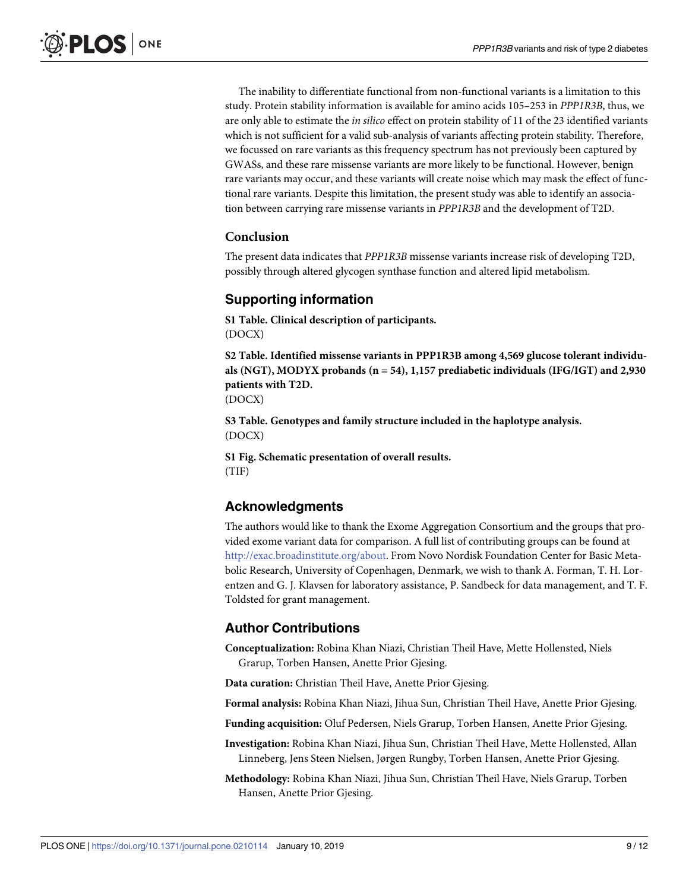<span id="page-8-0"></span>The inability to differentiate functional from non-functional variants is a limitation to this study. Protein stability information is available for amino acids 105–253 in *PPP1R3B*, thus, we are only able to estimate the *in silico* effect on protein stability of 11 of the 23 identified variants which is not sufficient for a valid sub-analysis of variants affecting protein stability. Therefore, we focussed on rare variants as this frequency spectrum has not previously been captured by GWASs, and these rare missense variants are more likely to be functional. However, benign rare variants may occur, and these variants will create noise which may mask the effect of functional rare variants. Despite this limitation, the present study was able to identify an association between carrying rare missense variants in *PPP1R3B* and the development of T2D.

#### **Conclusion**

The present data indicates that *PPP1R3B* missense variants increase risk of developing T2D, possibly through altered glycogen synthase function and altered lipid metabolism.

#### **Supporting information**

**S1 [Table.](http://www.plosone.org/article/fetchSingleRepresentation.action?uri=info:doi/10.1371/journal.pone.0210114.s001) Clinical description of participants.** (DOCX)

**S2 [Table.](http://www.plosone.org/article/fetchSingleRepresentation.action?uri=info:doi/10.1371/journal.pone.0210114.s002) Identified missense variants in PPP1R3B among 4,569 glucose tolerant individuals (NGT), MODYX probands (n = 54), 1,157 prediabetic individuals (IFG/IGT) and 2,930 patients with T2D.** (DOCX)

**S3 [Table.](http://www.plosone.org/article/fetchSingleRepresentation.action?uri=info:doi/10.1371/journal.pone.0210114.s003) Genotypes and family structure included in the haplotype analysis.** (DOCX)

**S1 [Fig](http://www.plosone.org/article/fetchSingleRepresentation.action?uri=info:doi/10.1371/journal.pone.0210114.s004). Schematic presentation of overall results.** (TIF)

#### **Acknowledgments**

The authors would like to thank the Exome Aggregation Consortium and the groups that provided exome variant data for comparison. A full list of contributing groups can be found at <http://exac.broadinstitute.org/about>. From Novo Nordisk Foundation Center for Basic Metabolic Research, University of Copenhagen, Denmark, we wish to thank A. Forman, T. H. Lorentzen and G. J. Klavsen for laboratory assistance, P. Sandbeck for data management, and T. F. Toldsted for grant management.

#### **Author Contributions**

**Conceptualization:** Robina Khan Niazi, Christian Theil Have, Mette Hollensted, Niels Grarup, Torben Hansen, Anette Prior Gjesing.

**Data curation:** Christian Theil Have, Anette Prior Gjesing.

**Formal analysis:** Robina Khan Niazi, Jihua Sun, Christian Theil Have, Anette Prior Gjesing.

**Funding acquisition:** Oluf Pedersen, Niels Grarup, Torben Hansen, Anette Prior Gjesing.

**Investigation:** Robina Khan Niazi, Jihua Sun, Christian Theil Have, Mette Hollensted, Allan Linneberg, Jens Steen Nielsen, Jørgen Rungby, Torben Hansen, Anette Prior Gjesing.

**Methodology:** Robina Khan Niazi, Jihua Sun, Christian Theil Have, Niels Grarup, Torben Hansen, Anette Prior Gjesing.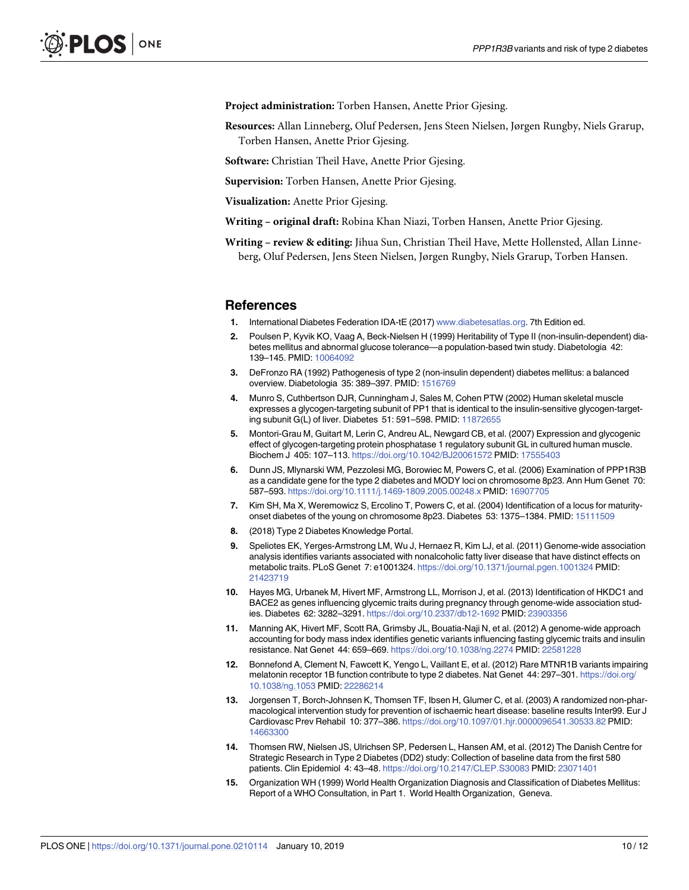<span id="page-9-0"></span>**Project administration:** Torben Hansen, Anette Prior Gjesing.

**Resources:** Allan Linneberg, Oluf Pedersen, Jens Steen Nielsen, Jørgen Rungby, Niels Grarup, Torben Hansen, Anette Prior Gjesing.

**Software:** Christian Theil Have, Anette Prior Gjesing.

**Supervision:** Torben Hansen, Anette Prior Gjesing.

**Visualization:** Anette Prior Gjesing.

**Writing – original draft:** Robina Khan Niazi, Torben Hansen, Anette Prior Gjesing.

**Writing – review & editing:** Jihua Sun, Christian Theil Have, Mette Hollensted, Allan Linneberg, Oluf Pedersen, Jens Steen Nielsen, Jørgen Rungby, Niels Grarup, Torben Hansen.

#### **References**

- **[1](#page-1-0).** International Diabetes Federation IDA-tE (2017) [www.diabetesatlas.org](http://www.diabetesatlas.org). 7th Edition ed.
- **[2](#page-1-0).** Poulsen P, Kyvik KO, Vaag A, Beck-Nielsen H (1999) Heritability of Type II (non-insulin-dependent) diabetes mellitus and abnormal glucose tolerance—a population-based twin study. Diabetologia 42: 139–145. PMID: [10064092](http://www.ncbi.nlm.nih.gov/pubmed/10064092)
- **[3](#page-1-0).** DeFronzo RA (1992) Pathogenesis of type 2 (non-insulin dependent) diabetes mellitus: a balanced overview. Diabetologia 35: 389–397. PMID: [1516769](http://www.ncbi.nlm.nih.gov/pubmed/1516769)
- **[4](#page-1-0).** Munro S, Cuthbertson DJR, Cunningham J, Sales M, Cohen PTW (2002) Human skeletal muscle expresses a glycogen-targeting subunit of PP1 that is identical to the insulin-sensitive glycogen-targeting subunit G(L) of liver. Diabetes 51: 591–598. PMID: [11872655](http://www.ncbi.nlm.nih.gov/pubmed/11872655)
- **[5](#page-1-0).** Montori-Grau M, Guitart M, Lerin C, Andreu AL, Newgard CB, et al. (2007) Expression and glycogenic effect of glycogen-targeting protein phosphatase 1 regulatory subunit GL in cultured human muscle. Biochem J 405: 107–113. <https://doi.org/10.1042/BJ20061572> PMID: [17555403](http://www.ncbi.nlm.nih.gov/pubmed/17555403)
- **[6](#page-1-0).** Dunn JS, Mlynarski WM, Pezzolesi MG, Borowiec M, Powers C, et al. (2006) Examination of PPP1R3B as a candidate gene for the type 2 diabetes and MODY loci on chromosome 8p23. Ann Hum Genet 70: 587–593. <https://doi.org/10.1111/j.1469-1809.2005.00248.x> PMID: [16907705](http://www.ncbi.nlm.nih.gov/pubmed/16907705)
- **[7](#page-1-0).** Kim SH, Ma X, Weremowicz S, Ercolino T, Powers C, et al. (2004) Identification of a locus for maturityonset diabetes of the young on chromosome 8p23. Diabetes 53: 1375–1384. PMID: [15111509](http://www.ncbi.nlm.nih.gov/pubmed/15111509)
- **[8](#page-1-0).** (2018) Type 2 Diabetes Knowledge Portal.
- **[9](#page-1-0).** Speliotes EK, Yerges-Armstrong LM, Wu J, Hernaez R, Kim LJ, et al. (2011) Genome-wide association analysis identifies variants associated with nonalcoholic fatty liver disease that have distinct effects on metabolic traits. PLoS Genet 7: e1001324. <https://doi.org/10.1371/journal.pgen.1001324> PMID: [21423719](http://www.ncbi.nlm.nih.gov/pubmed/21423719)
- **[10](#page-1-0).** Hayes MG, Urbanek M, Hivert MF, Armstrong LL, Morrison J, et al. (2013) Identification of HKDC1 and BACE2 as genes influencing glycemic traits during pregnancy through genome-wide association studies. Diabetes 62: 3282–3291. <https://doi.org/10.2337/db12-1692> PMID: [23903356](http://www.ncbi.nlm.nih.gov/pubmed/23903356)
- **[11](#page-1-0).** Manning AK, Hivert MF, Scott RA, Grimsby JL, Bouatia-Naji N, et al. (2012) A genome-wide approach accounting for body mass index identifies genetic variants influencing fasting glycemic traits and insulin resistance. Nat Genet 44: 659–669. <https://doi.org/10.1038/ng.2274> PMID: [22581228](http://www.ncbi.nlm.nih.gov/pubmed/22581228)
- **[12](#page-1-0).** Bonnefond A, Clement N, Fawcett K, Yengo L, Vaillant E, et al. (2012) Rare MTNR1B variants impairing melatonin receptor 1B function contribute to type 2 diabetes. Nat Genet 44: 297–301. [https://doi.org/](https://doi.org/10.1038/ng.1053) [10.1038/ng.1053](https://doi.org/10.1038/ng.1053) PMID: [22286214](http://www.ncbi.nlm.nih.gov/pubmed/22286214)
- **[13](#page-1-0).** Jorgensen T, Borch-Johnsen K, Thomsen TF, Ibsen H, Glumer C, et al. (2003) A randomized non-pharmacological intervention study for prevention of ischaemic heart disease: baseline results Inter99. Eur J Cardiovasc Prev Rehabil 10: 377–386. <https://doi.org/10.1097/01.hjr.0000096541.30533.82> PMID: [14663300](http://www.ncbi.nlm.nih.gov/pubmed/14663300)
- **[14](#page-1-0).** Thomsen RW, Nielsen JS, Ulrichsen SP, Pedersen L, Hansen AM, et al. (2012) The Danish Centre for Strategic Research in Type 2 Diabetes (DD2) study: Collection of baseline data from the first 580 patients. Clin Epidemiol 4: 43–48. <https://doi.org/10.2147/CLEP.S30083> PMID: [23071401](http://www.ncbi.nlm.nih.gov/pubmed/23071401)
- **[15](#page-2-0).** Organization WH (1999) World Health Organization Diagnosis and Classification of Diabetes Mellitus: Report of a WHO Consultation, in Part 1. World Health Organization, Geneva.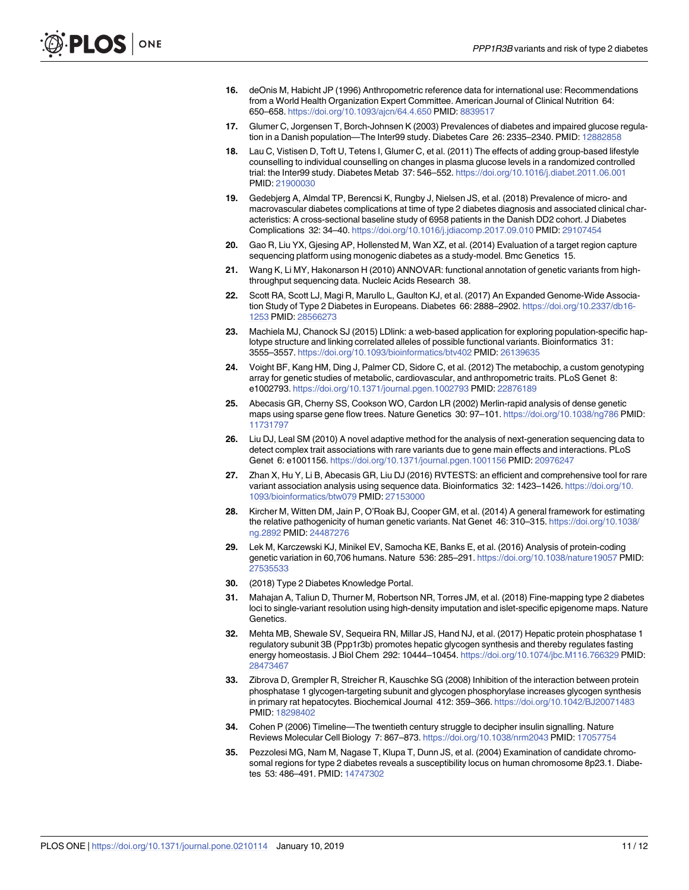- <span id="page-10-0"></span>**[16](#page-2-0).** deOnis M, Habicht JP (1996) Anthropometric reference data for international use: Recommendations from a World Health Organization Expert Committee. American Journal of Clinical Nutrition 64: 650–658. <https://doi.org/10.1093/ajcn/64.4.650> PMID: [8839517](http://www.ncbi.nlm.nih.gov/pubmed/8839517)
- **[17](#page-2-0).** Glumer C, Jorgensen T, Borch-Johnsen K (2003) Prevalences of diabetes and impaired glucose regulation in a Danish population—The Inter99 study. Diabetes Care 26: 2335–2340. PMID: [12882858](http://www.ncbi.nlm.nih.gov/pubmed/12882858)
- **[18](#page-2-0).** Lau C, Vistisen D, Toft U, Tetens I, Glumer C, et al. (2011) The effects of adding group-based lifestyle counselling to individual counselling on changes in plasma glucose levels in a randomized controlled trial: the Inter99 study. Diabetes Metab 37: 546–552. <https://doi.org/10.1016/j.diabet.2011.06.001> PMID: [21900030](http://www.ncbi.nlm.nih.gov/pubmed/21900030)
- **[19](#page-2-0).** Gedebjerg A, Almdal TP, Berencsi K, Rungby J, Nielsen JS, et al. (2018) Prevalence of micro- and macrovascular diabetes complications at time of type 2 diabetes diagnosis and associated clinical characteristics: A cross-sectional baseline study of 6958 patients in the Danish DD2 cohort. J Diabetes Complications 32: 34–40. <https://doi.org/10.1016/j.jdiacomp.2017.09.010> PMID: [29107454](http://www.ncbi.nlm.nih.gov/pubmed/29107454)
- **[20](#page-2-0).** Gao R, Liu YX, Gjesing AP, Hollensted M, Wan XZ, et al. (2014) Evaluation of a target region capture sequencing platform using monogenic diabetes as a study-model. Bmc Genetics 15.
- **[21](#page-2-0).** Wang K, Li MY, Hakonarson H (2010) ANNOVAR: functional annotation of genetic variants from highthroughput sequencing data. Nucleic Acids Research 38.
- **[22](#page-2-0).** Scott RA, Scott LJ, Magi R, Marullo L, Gaulton KJ, et al. (2017) An Expanded Genome-Wide Association Study of Type 2 Diabetes in Europeans. Diabetes 66: 2888–2902. [https://doi.org/10.2337/db16-](https://doi.org/10.2337/db16-1253) [1253](https://doi.org/10.2337/db16-1253) PMID: [28566273](http://www.ncbi.nlm.nih.gov/pubmed/28566273)
- **[23](#page-2-0).** Machiela MJ, Chanock SJ (2015) LDlink: a web-based application for exploring population-specific haplotype structure and linking correlated alleles of possible functional variants. Bioinformatics 31: 3555–3557. <https://doi.org/10.1093/bioinformatics/btv402> PMID: [26139635](http://www.ncbi.nlm.nih.gov/pubmed/26139635)
- **[24](#page-3-0).** Voight BF, Kang HM, Ding J, Palmer CD, Sidore C, et al. (2012) The metabochip, a custom genotyping array for genetic studies of metabolic, cardiovascular, and anthropometric traits. PLoS Genet 8: e1002793. <https://doi.org/10.1371/journal.pgen.1002793> PMID: [22876189](http://www.ncbi.nlm.nih.gov/pubmed/22876189)
- **[25](#page-3-0).** Abecasis GR, Cherny SS, Cookson WO, Cardon LR (2002) Merlin-rapid analysis of dense genetic maps using sparse gene flow trees. Nature Genetics 30: 97–101. <https://doi.org/10.1038/ng786> PMID: [11731797](http://www.ncbi.nlm.nih.gov/pubmed/11731797)
- **[26](#page-3-0).** Liu DJ, Leal SM (2010) A novel adaptive method for the analysis of next-generation sequencing data to detect complex trait associations with rare variants due to gene main effects and interactions. PLoS Genet 6: e1001156. <https://doi.org/10.1371/journal.pgen.1001156> PMID: [20976247](http://www.ncbi.nlm.nih.gov/pubmed/20976247)
- **[27](#page-3-0).** Zhan X, Hu Y, Li B, Abecasis GR, Liu DJ (2016) RVTESTS: an efficient and comprehensive tool for rare variant association analysis using sequence data. Bioinformatics 32: 1423–1426. [https://doi.org/10.](https://doi.org/10.1093/bioinformatics/btw079) [1093/bioinformatics/btw079](https://doi.org/10.1093/bioinformatics/btw079) PMID: [27153000](http://www.ncbi.nlm.nih.gov/pubmed/27153000)
- **[28](#page-3-0).** Kircher M, Witten DM, Jain P, O'Roak BJ, Cooper GM, et al. (2014) A general framework for estimating the relative pathogenicity of human genetic variants. Nat Genet 46: 310–315. [https://doi.org/10.1038/](https://doi.org/10.1038/ng.2892) [ng.2892](https://doi.org/10.1038/ng.2892) PMID: [24487276](http://www.ncbi.nlm.nih.gov/pubmed/24487276)
- **[29](#page-3-0).** Lek M, Karczewski KJ, Minikel EV, Samocha KE, Banks E, et al. (2016) Analysis of protein-coding genetic variation in 60,706 humans. Nature 536: 285–291. <https://doi.org/10.1038/nature19057> PMID: [27535533](http://www.ncbi.nlm.nih.gov/pubmed/27535533)
- **[30](#page-4-0).** (2018) Type 2 Diabetes Knowledge Portal.
- **[31](#page-7-0).** Mahajan A, Taliun D, Thurner M, Robertson NR, Torres JM, et al. (2018) Fine-mapping type 2 diabetes loci to single-variant resolution using high-density imputation and islet-specific epigenome maps. Nature **Genetics**
- **[32](#page-7-0).** Mehta MB, Shewale SV, Sequeira RN, Millar JS, Hand NJ, et al. (2017) Hepatic protein phosphatase 1 regulatory subunit 3B (Ppp1r3b) promotes hepatic glycogen synthesis and thereby regulates fasting energy homeostasis. J Biol Chem 292: 10444–10454. <https://doi.org/10.1074/jbc.M116.766329> PMID: [28473467](http://www.ncbi.nlm.nih.gov/pubmed/28473467)
- **[33](#page-7-0).** Zibrova D, Grempler R, Streicher R, Kauschke SG (2008) Inhibition of the interaction between protein phosphatase 1 glycogen-targeting subunit and glycogen phosphorylase increases glycogen synthesis in primary rat hepatocytes. Biochemical Journal 412: 359–366. <https://doi.org/10.1042/BJ20071483> PMID: [18298402](http://www.ncbi.nlm.nih.gov/pubmed/18298402)
- **[34](#page-7-0).** Cohen P (2006) Timeline—The twentieth century struggle to decipher insulin signalling. Nature Reviews Molecular Cell Biology 7: 867–873. <https://doi.org/10.1038/nrm2043> PMID: [17057754](http://www.ncbi.nlm.nih.gov/pubmed/17057754)
- **[35](#page-7-0).** Pezzolesi MG, Nam M, Nagase T, Klupa T, Dunn JS, et al. (2004) Examination of candidate chromosomal regions for type 2 diabetes reveals a susceptibility locus on human chromosome 8p23.1. Diabetes 53: 486–491. PMID: [14747302](http://www.ncbi.nlm.nih.gov/pubmed/14747302)